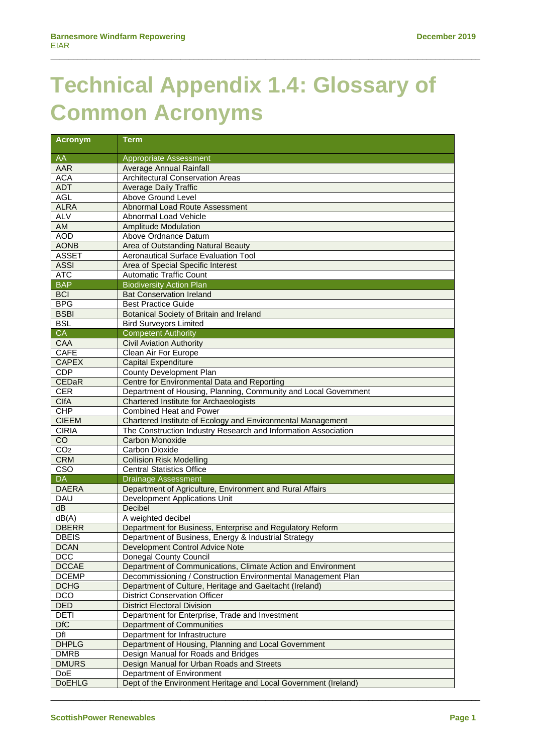## **Technical Appendix 1.4: Glossary of Common Acronyms**

 $\_$  ,  $\_$  ,  $\_$  ,  $\_$  ,  $\_$  ,  $\_$  ,  $\_$  ,  $\_$  ,  $\_$  ,  $\_$  ,  $\_$  ,  $\_$  ,  $\_$  ,  $\_$  ,  $\_$  ,  $\_$  ,  $\_$  ,  $\_$  ,  $\_$  ,  $\_$  ,  $\_$  ,  $\_$  ,  $\_$  ,  $\_$  ,  $\_$  ,  $\_$  ,  $\_$  ,  $\_$  ,  $\_$  ,  $\_$  ,  $\_$  ,  $\_$  ,  $\_$  ,  $\_$  ,  $\_$  ,  $\_$  ,  $\_$  ,

| <b>Acronym</b>           | <b>Term</b>                                                                           |
|--------------------------|---------------------------------------------------------------------------------------|
| AA                       | Appropriate Assessment                                                                |
| AAR                      | Average Annual Rainfall                                                               |
| <b>ACA</b>               | <b>Architectural Conservation Areas</b>                                               |
| <b>ADT</b>               | <b>Average Daily Traffic</b>                                                          |
| <b>AGL</b>               | Above Ground Level                                                                    |
| <b>ALRA</b>              | Abnormal Load Route Assessment                                                        |
| <b>ALV</b>               | Abnormal Load Vehicle                                                                 |
| AM                       | <b>Amplitude Modulation</b>                                                           |
| <b>AOD</b>               | Above Ordnance Datum                                                                  |
| <b>AONB</b>              | Area of Outstanding Natural Beauty                                                    |
| <b>ASSET</b>             | <b>Aeronautical Surface Evaluation Tool</b>                                           |
| <b>ASSI</b>              | Area of Special Specific Interest                                                     |
| <b>ATC</b>               | <b>Automatic Traffic Count</b>                                                        |
| <b>BAP</b>               | <b>Biodiversity Action Plan</b>                                                       |
| <b>BCI</b>               | <b>Bat Conservation Ireland</b>                                                       |
| <b>BPG</b>               | <b>Best Practice Guide</b>                                                            |
| <b>BSBI</b>              | Botanical Society of Britain and Ireland                                              |
| <b>BSL</b>               | <b>Bird Surveyors Limited</b>                                                         |
| <b>CA</b>                | <b>Competent Authority</b>                                                            |
| <b>CAA</b>               | <b>Civil Aviation Authority</b>                                                       |
| <b>CAFE</b>              | Clean Air For Europe                                                                  |
| <b>CAPEX</b>             | <b>Capital Expenditure</b>                                                            |
| CDP                      | County Development Plan                                                               |
| CEDaR                    | Centre for Environmental Data and Reporting                                           |
| <b>CER</b>               | Department of Housing, Planning, Community and Local Government                       |
| <b>CIfA</b>              | Chartered Institute for Archaeologists                                                |
| <b>CHP</b>               | <b>Combined Heat and Power</b>                                                        |
| <b>CIEEM</b>             | Chartered Institute of Ecology and Environmental Management                           |
| <b>CIRIA</b>             | The Construction Industry Research and Information Association                        |
| CO                       | Carbon Monoxide                                                                       |
| CO <sub>2</sub>          | Carbon Dioxide                                                                        |
| <b>CRM</b>               | <b>Collision Risk Modelling</b>                                                       |
| CSO                      | <b>Central Statistics Office</b>                                                      |
| <b>DA</b>                | <b>Drainage Assessment</b>                                                            |
| <b>DAERA</b>             | Department of Agriculture, Environment and Rural Affairs                              |
| DAU                      | Development Applications Unit                                                         |
| dB                       | <b>Decibel</b>                                                                        |
| dB(A)                    | A weighted decibel                                                                    |
| <b>DBERR</b>             | Department for Business, Enterprise and Regulatory Reform                             |
| <b>DBEIS</b>             | Department of Business, Energy & Industrial Strategy                                  |
| <b>DCAN</b>              | Development Control Advice Note                                                       |
| <b>DCC</b>               | Donegal County Council                                                                |
| <b>DCCAE</b>             | Department of Communications, Climate Action and Environment                          |
| <b>DCEMP</b>             | Decommissioning / Construction Environmental Management Plan                          |
| <b>DCHG</b>              | Department of Culture, Heritage and Gaeltacht (Ireland)                               |
| <b>DCO</b><br><b>DED</b> | <b>District Conservation Officer</b>                                                  |
| <b>DETI</b>              | <b>District Electoral Division</b><br>Department for Enterprise, Trade and Investment |
| <b>DfC</b>               | <b>Department of Communities</b>                                                      |
| DfI                      | Department for Infrastructure                                                         |
| <b>DHPLG</b>             | Department of Housing, Planning and Local Government                                  |
| <b>DMRB</b>              | Design Manual for Roads and Bridges                                                   |
| <b>DMURS</b>             | Design Manual for Urban Roads and Streets                                             |
| <b>DoE</b>               | Department of Environment                                                             |
| <b>DoEHLG</b>            | Dept of the Environment Heritage and Local Government (Ireland)                       |
|                          |                                                                                       |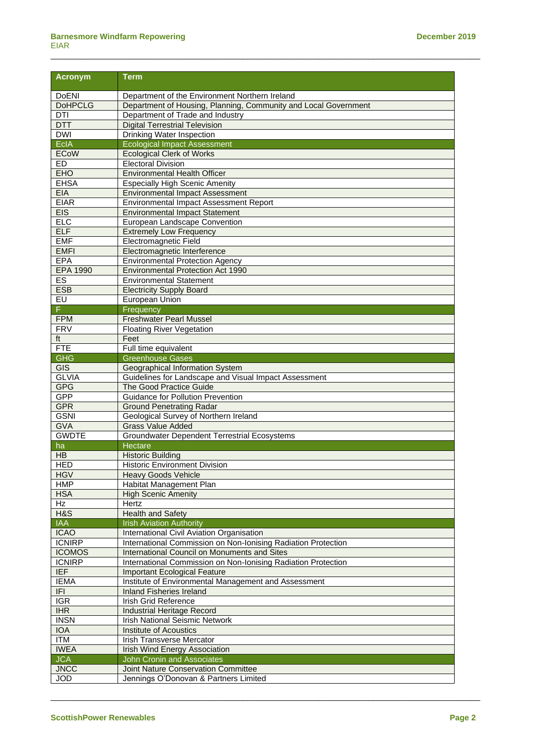| <b>Acronym</b>            | <b>Term</b>                                                            |
|---------------------------|------------------------------------------------------------------------|
| <b>DoENI</b>              | Department of the Environment Northern Ireland                         |
| <b>DoHPCLG</b>            | Department of Housing, Planning, Community and Local Government        |
| DTI                       | Department of Trade and Industry                                       |
| <b>DTT</b>                | <b>Digital Terrestrial Television</b>                                  |
| <b>DWI</b>                | <b>Drinking Water Inspection</b>                                       |
| <b>EcIA</b>               | <b>Ecological Impact Assessment</b>                                    |
| <b>ECoW</b>               | <b>Ecological Clerk of Works</b>                                       |
| <b>ED</b>                 | Electoral Division                                                     |
| <b>EHO</b>                | <b>Environmental Health Officer</b>                                    |
| <b>EHSA</b>               | <b>Especially High Scenic Amenity</b>                                  |
| <b>EIA</b>                | <b>Environmental Impact Assessment</b>                                 |
| <b>EIAR</b>               | Environmental Impact Assessment Report                                 |
| EIS                       | <b>Environmental Impact Statement</b>                                  |
| EIC                       | European Landscape Convention                                          |
| <b>ELF</b>                | <b>Extremely Low Frequency</b>                                         |
| <b>EMF</b>                | Electromagnetic Field                                                  |
| <b>EMFI</b>               | Electromagnetic Interference                                           |
| <b>EPA</b>                | <b>Environmental Protection Agency</b>                                 |
| <b>EPA 1990</b>           | <b>Environmental Protection Act 1990</b>                               |
| ES                        | <b>Environmental Statement</b>                                         |
| <b>ESB</b>                | <b>Electricity Supply Board</b>                                        |
| EU                        | European Union                                                         |
| F.                        | Frequency                                                              |
| <b>FPM</b><br><b>FRV</b>  | <b>Freshwater Pearl Mussel</b>                                         |
| ft                        | <b>Floating River Vegetation</b><br>Feet                               |
| FTE                       | Full time equivalent                                                   |
| <b>GHG</b>                | <b>Greenhouse Gases</b>                                                |
| GIS                       | Geographical Information System                                        |
| <b>GLVIA</b>              | Guidelines for Landscape and Visual Impact Assessment                  |
| <b>GPG</b>                | <b>The Good Practice Guide</b>                                         |
| <b>GPP</b>                | <b>Guidance for Pollution Prevention</b>                               |
| <b>GPR</b>                | <b>Ground Penetrating Radar</b>                                        |
| <b>GSNI</b>               | Geological Survey of Northern Ireland                                  |
| <b>GVA</b>                | <b>Grass Value Added</b>                                               |
| <b>GWDTE</b>              | <b>Groundwater Dependent Terrestrial Ecosystems</b>                    |
| ha                        | Hectare                                                                |
| HB                        | <b>Historic Building</b>                                               |
| <b>HED</b>                | <b>Historic Environment Division</b>                                   |
| <b>HGV</b>                | <b>Heavy Goods Vehicle</b>                                             |
| HMP                       | Habitat Management Plan                                                |
| <b>HSA</b>                | <b>High Scenic Amenity</b>                                             |
| Hz                        | Hertz                                                                  |
| H&S                       | <b>Health and Safety</b>                                               |
| <b>IAA</b>                | <b>Irish Aviation Authority</b>                                        |
| <b>ICAO</b>               | International Civil Aviation Organisation                              |
| <b>ICNIRP</b>             | International Commission on Non-Ionising Radiation Protection          |
| <b>ICOMOS</b>             | International Council on Monuments and Sites                           |
| <b>ICNIRP</b>             | International Commission on Non-Ionising Radiation Protection          |
| <b>IEF</b>                | <b>Important Ecological Feature</b>                                    |
| <b>IEMA</b>               | Institute of Environmental Management and Assessment                   |
| F                         | <b>Inland Fisheries Ireland</b>                                        |
| $\overline{\text{IGR}}$   | <b>Irish Grid Reference</b>                                            |
| <b>IHR</b>                | <b>Industrial Heritage Record</b>                                      |
| <b>INSN</b><br><b>IOA</b> | <b>Irish National Seismic Network</b><br><b>Institute of Acoustics</b> |
| <b>ITM</b>                | Irish Transverse Mercator                                              |
| <b>IWEA</b>               | <b>Irish Wind Energy Association</b>                                   |
| <b>JCA</b>                | <b>John Cronin and Associates</b>                                      |
| <b>JNCC</b>               | Joint Nature Conservation Committee                                    |
| <b>JOD</b>                | Jennings O'Donovan & Partners Limited                                  |
|                           |                                                                        |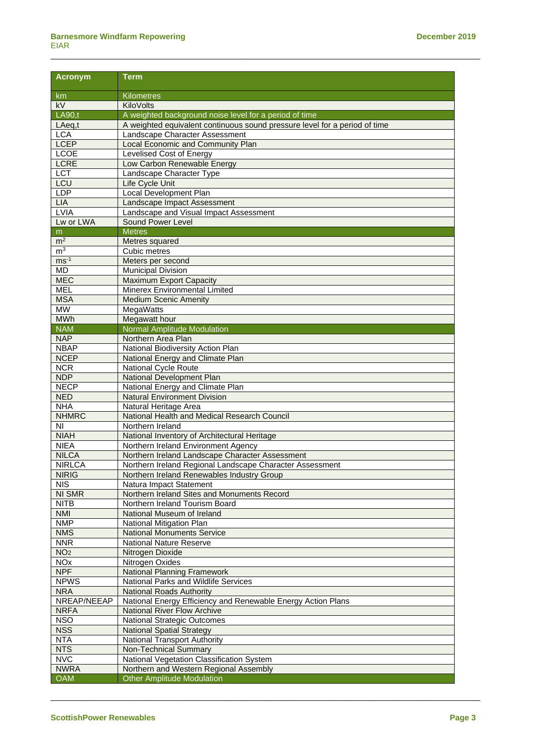| <b>Acronym</b>        | <b>Term</b>                                                                |
|-----------------------|----------------------------------------------------------------------------|
| km                    | <b>Kilometres</b>                                                          |
| kV                    | KiloVolts                                                                  |
| <b>LA90.t</b>         | A weighted background noise level for a period of time                     |
| LAeq, t               | A weighted equivalent continuous sound pressure level for a period of time |
| <b>LCA</b>            | Landscape Character Assessment                                             |
| <b>LCEP</b>           | Local Economic and Community Plan                                          |
| LCOE                  | Levelised Cost of Energy                                                   |
| <b>LCRE</b>           | Low Carbon Renewable Energy                                                |
| <b>LCT</b>            | Landscape Character Type                                                   |
| LCU                   | Life Cycle Unit                                                            |
| <b>LDP</b>            | <b>Local Development Plan</b>                                              |
| LIA                   | Landscape Impact Assessment                                                |
| <b>LVIA</b>           | Landscape and Visual Impact Assessment                                     |
| Lw or LWA             | Sound Power Level                                                          |
| m                     | <b>Metres</b>                                                              |
| $m^2$                 | Metres squared                                                             |
| m <sup>3</sup>        | Cubic metres                                                               |
| $ms^{-1}$             | Meters per second                                                          |
| <b>MD</b>             | <b>Municipal Division</b>                                                  |
| <b>MEC</b>            | <b>Maximum Export Capacity</b>                                             |
| <b>MEL</b>            | Minerex Environmental Limited                                              |
| <b>MSA</b>            | <b>Medium Scenic Amenity</b>                                               |
| <b>MW</b>             | MegaWatts                                                                  |
| <b>MWh</b>            | Megawatt hour                                                              |
| <b>NAM</b>            | Normal Amplitude Modulation                                                |
| <b>NAP</b>            | Northern Area Plan                                                         |
| <b>NBAP</b>           | National Biodiversity Action Plan                                          |
| <b>NCEP</b>           | National Energy and Climate Plan                                           |
| <b>NCR</b>            | National Cycle Route                                                       |
| <b>NDP</b>            | National Development Plan                                                  |
| <b>NECP</b>           | National Energy and Climate Plan                                           |
| <b>NED</b>            | <b>Natural Environment Division</b>                                        |
| <b>NHA</b>            | Natural Heritage Area                                                      |
| <b>NHMRC</b>          | National Health and Medical Research Council                               |
| NI                    | Northern Ireland                                                           |
| <b>NIAH</b>           | National Inventory of Architectural Heritage                               |
| <b>NIEA</b>           | Northern Ireland Environment Agency                                        |
| <b>NILCA</b>          | Northern Ireland Landscape Character Assessment                            |
| <b>NIRLCA</b>         | Northern Ireland Regional Landscape Character Assessment                   |
| <b>NIRIG</b>          | Northern Ireland Renewables Industry Group                                 |
| <b>NIS</b>            | Natura Impact Statement                                                    |
| <b>NI SMR</b>         | Northern Ireland Sites and Monuments Record                                |
| <b>NITB</b>           | Northern Ireland Tourism Board                                             |
| <b>NMI</b>            | National Museum of Ireland                                                 |
| <b>NMP</b>            | National Mitigation Plan                                                   |
| <b>NMS</b>            | <b>National Monuments Service</b>                                          |
| <b>NNR</b>            | <b>National Nature Reserve</b>                                             |
| NO <sub>2</sub>       | Nitrogen Dioxide                                                           |
| <b>NO<sub>x</sub></b> | Nitrogen Oxides                                                            |
| <b>NPF</b>            | <b>National Planning Framework</b>                                         |
| <b>NPWS</b>           | National Parks and Wildlife Services                                       |
| <b>NRA</b>            | <b>National Roads Authority</b>                                            |
| NREAP/NEEAP           | National Energy Efficiency and Renewable Energy Action Plans               |
| <b>NRFA</b>           | <b>National River Flow Archive</b>                                         |
| <b>NSO</b>            | <b>National Strategic Outcomes</b>                                         |
| <b>NSS</b>            | <b>National Spatial Strategy</b>                                           |
| <b>NTA</b>            | <b>National Transport Authority</b>                                        |
| <b>NTS</b>            | Non-Technical Summary                                                      |
| <b>NVC</b>            | National Vegetation Classification System                                  |
| <b>NWRA</b>           | Northern and Western Regional Assembly                                     |
| <b>OAM</b>            | <b>Other Amplitude Modulation</b>                                          |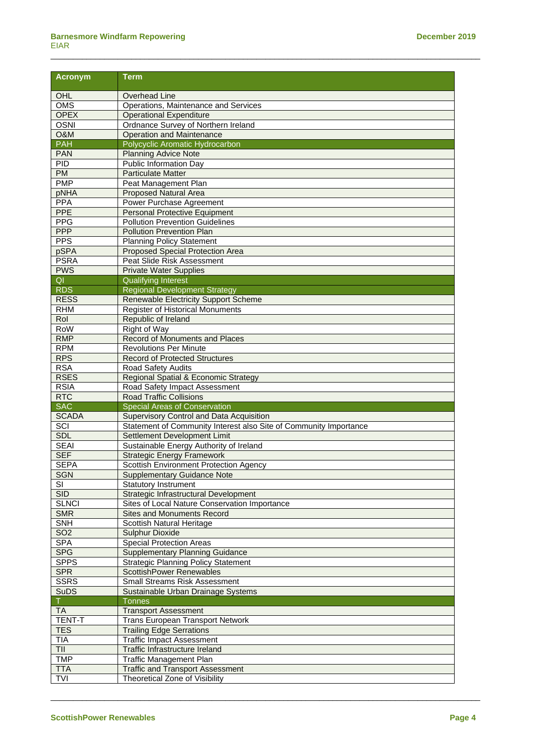| <b>Acronym</b>             | Term                                                                                    |
|----------------------------|-----------------------------------------------------------------------------------------|
| OHL                        | <b>Overhead Line</b>                                                                    |
| OMS                        | Operations, Maintenance and Services                                                    |
| <b>OPEX</b>                | <b>Operational Expenditure</b>                                                          |
| <b>OSNI</b>                | Ordnance Survey of Northern Ireland                                                     |
| O&M                        | <b>Operation and Maintenance</b>                                                        |
| <b>PAH</b>                 | Polycyclic Aromatic Hydrocarbon                                                         |
| <b>PAN</b>                 | <b>Planning Advice Note</b>                                                             |
| <b>PID</b>                 | Public Information Day                                                                  |
| <b>PM</b>                  | <b>Particulate Matter</b>                                                               |
| <b>PMP</b>                 | Peat Management Plan                                                                    |
| pNHA                       | <b>Proposed Natural Area</b>                                                            |
| PPA                        | <b>Power Purchase Agreement</b>                                                         |
| PPE                        | <b>Personal Protective Equipment</b>                                                    |
| <b>PPG</b>                 | <b>Pollution Prevention Guidelines</b>                                                  |
| <b>PPP</b>                 | <b>Pollution Prevention Plan</b>                                                        |
| <b>PPS</b>                 | <b>Planning Policy Statement</b>                                                        |
| pSPA                       | <b>Proposed Special Protection Area</b>                                                 |
| <b>PSRA</b>                | Peat Slide Risk Assessment                                                              |
| <b>PWS</b>                 | <b>Private Water Supplies</b>                                                           |
| QI                         | <b>Qualifying Interest</b>                                                              |
| <b>RDS</b>                 | <b>Regional Development Strategy</b>                                                    |
| <b>RESS</b>                | Renewable Electricity Support Scheme                                                    |
| <b>RHM</b>                 | <b>Register of Historical Monuments</b>                                                 |
| Rol                        | Republic of Ireland                                                                     |
| RoW                        | Right of Way                                                                            |
| <b>RMP</b>                 | Record of Monuments and Places                                                          |
| <b>RPM</b>                 | <b>Revolutions Per Minute</b>                                                           |
| <b>RPS</b>                 | <b>Record of Protected Structures</b>                                                   |
| <b>RSA</b>                 | Road Safety Audits                                                                      |
| <b>RSES</b>                | Regional Spatial & Economic Strategy                                                    |
| <b>RSIA</b>                | Road Safety Impact Assessment                                                           |
| <b>RTC</b>                 | <b>Road Traffic Collisions</b>                                                          |
| <b>SAC</b><br><b>SCADA</b> | <b>Special Areas of Conservation</b><br><b>Supervisory Control and Data Acquisition</b> |
| SCI                        | Statement of Community Interest also Site of Community Importance                       |
| <b>SDL</b>                 | Settlement Development Limit                                                            |
| <b>SEAI</b>                | Sustainable Energy Authority of Ireland                                                 |
| <b>SEF</b>                 | <b>Strategic Energy Framework</b>                                                       |
| <b>SEPA</b>                | <b>Scottish Environment Protection Agency</b>                                           |
| SGN                        | <b>Supplementary Guidance Note</b>                                                      |
| SI                         | <b>Statutory Instrument</b>                                                             |
| SID                        | Strategic Infrastructural Development                                                   |
| <b>SLNCI</b>               | Sites of Local Nature Conservation Importance                                           |
| <b>SMR</b>                 | <b>Sites and Monuments Record</b>                                                       |
| <b>SNH</b>                 | Scottish Natural Heritage                                                               |
| <b>SO2</b>                 | <b>Sulphur Dioxide</b>                                                                  |
| <b>SPA</b>                 | <b>Special Protection Areas</b>                                                         |
| <b>SPG</b>                 | <b>Supplementary Planning Guidance</b>                                                  |
| <b>SPPS</b>                | <b>Strategic Planning Policy Statement</b>                                              |
| <b>SPR</b>                 | <b>ScottishPower Renewables</b>                                                         |
| <b>SSRS</b>                | <b>Small Streams Risk Assessment</b>                                                    |
| <b>SuDS</b>                | Sustainable Urban Drainage Systems                                                      |
|                            | <b>Tonnes</b>                                                                           |
| <b>TA</b>                  | <b>Transport Assessment</b>                                                             |
| <b>TENT-T</b>              | Trans European Transport Network                                                        |
| <b>TES</b>                 | <b>Trailing Edge Serrations</b>                                                         |
| <b>TIA</b>                 | <b>Traffic Impact Assessment</b>                                                        |
| TII                        | Traffic Infrastructure Ireland                                                          |
| <b>TMP</b>                 | <b>Traffic Management Plan</b>                                                          |
| <b>TTA</b>                 | <b>Traffic and Transport Assessment</b>                                                 |
| <b>TVI</b>                 | Theoretical Zone of Visibility                                                          |